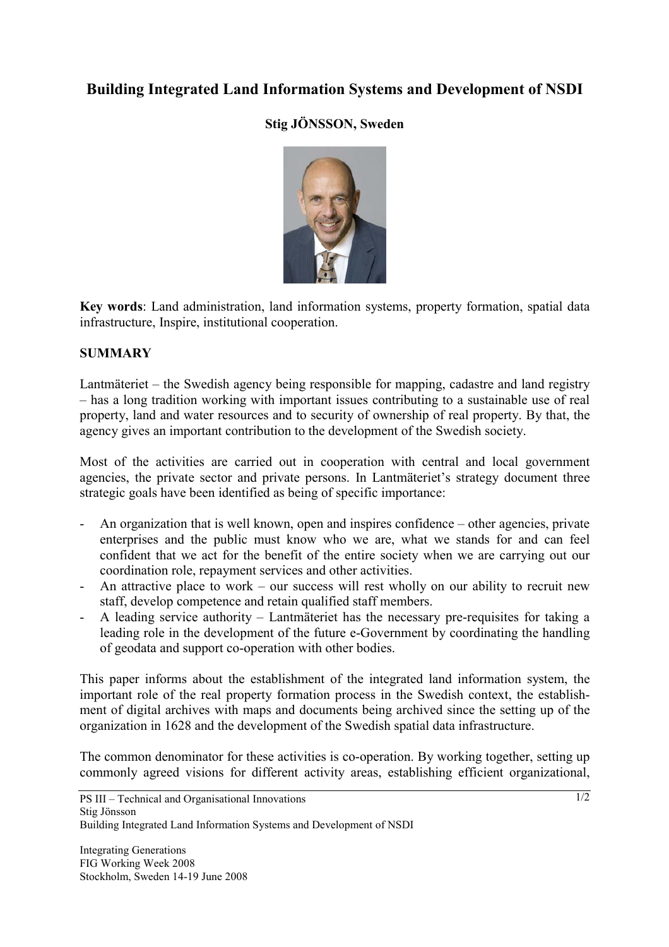# **Building Integrated Land Information Systems and Development of NSDI**

## **Stig JÖNSSON, Sweden**



**Key words**: Land administration, land information systems, property formation, spatial data infrastructure, Inspire, institutional cooperation.

### **SUMMARY**

Lantmäteriet – the Swedish agency being responsible for mapping, cadastre and land registry – has a long tradition working with important issues contributing to a sustainable use of real property, land and water resources and to security of ownership of real property. By that, the agency gives an important contribution to the development of the Swedish society.

Most of the activities are carried out in cooperation with central and local government agencies, the private sector and private persons. In Lantmäteriet's strategy document three strategic goals have been identified as being of specific importance:

- An organization that is well known, open and inspires confidence other agencies, private enterprises and the public must know who we are, what we stands for and can feel confident that we act for the benefit of the entire society when we are carrying out our coordination role, repayment services and other activities.
- An attractive place to work our success will rest wholly on our ability to recruit new staff, develop competence and retain qualified staff members.
- A leading service authority Lantmäteriet has the necessary pre-requisites for taking a leading role in the development of the future e-Government by coordinating the handling of geodata and support co-operation with other bodies.

This paper informs about the establishment of the integrated land information system, the important role of the real property formation process in the Swedish context, the establishment of digital archives with maps and documents being archived since the setting up of the organization in 1628 and the development of the Swedish spatial data infrastructure.

The common denominator for these activities is co-operation. By working together, setting up commonly agreed visions for different activity areas, establishing efficient organizational,